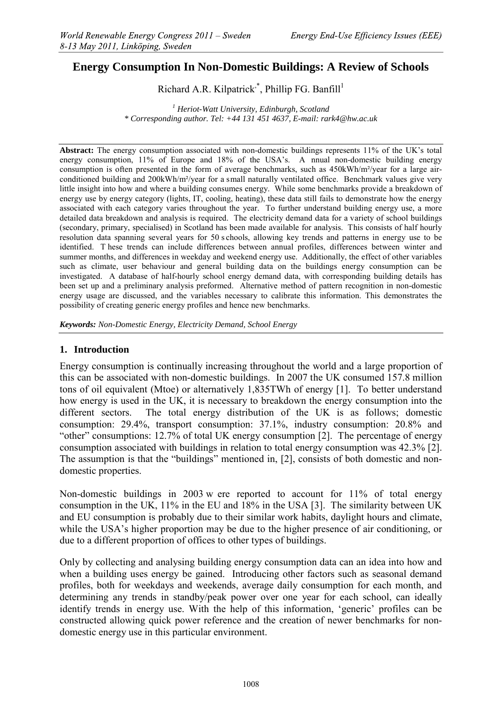# **Energy Consumption In Non-Domestic Buildings: A Review of Schools**

Richard A.R. Kilpatrick, Phillip FG. Banfill<sup>1</sup>

*<sup>1</sup> Heriot-Watt University, Edinburgh, Scotland \* Corresponding author. Tel: +44 131 451 4637, E-mail: rark4@hw.ac.uk*

**Abstract:** The energy consumption associated with non-domestic buildings represents 11% of the UK's total energy consumption, 11% of Europe and 18% of the USA's. A nnual non-domestic building energy consumption is often presented in the form of average benchmarks, such as 450kWh/m²/year for a large airconditioned building and 200kWh/m²/year for a small naturally ventilated office. Benchmark values give very little insight into how and where a building consumes energy. While some benchmarks provide a breakdown of energy use by energy category (lights, IT, cooling, heating), these data still fails to demonstrate how the energy associated with each category varies throughout the year. To further understand building energy use, a more detailed data breakdown and analysis is required. The electricity demand data for a variety of school buildings (secondary, primary, specialised) in Scotland has been made available for analysis. This consists of half hourly resolution data spanning several years for 50 s chools, allowing key trends and patterns in energy use to be identified. T hese trends can include differences between annual profiles, differences between winter and summer months, and differences in weekday and weekend energy use. Additionally, the effect of other variables such as climate, user behaviour and general building data on the buildings energy consumption can be investigated. A database of half-hourly school energy demand data, with corresponding building details has been set up and a preliminary analysis preformed. Alternative method of pattern recognition in non-domestic energy usage are discussed, and the variables necessary to calibrate this information. This demonstrates the possibility of creating generic energy profiles and hence new benchmarks.

*Keywords: Non-Domestic Energy, Electricity Demand, School Energy*

## **1. Introduction**

Energy consumption is continually increasing throughout the world and a large proportion of this can be associated with non-domestic buildings. In 2007 the UK consumed 157.8 million tons of oil equivalent (Mtoe) or alternatively 1,835TWh of energy [1]. To better understand how energy is used in the UK, it is necessary to breakdown the energy consumption into the different sectors. The total energy distribution of the UK is as follows; domestic consumption: 29.4%, transport consumption: 37.1%, industry consumption: 20.8% and "other" consumptions: 12.7% of total UK energy consumption [2]. The percentage of energy consumption associated with buildings in relation to total energy consumption was 42.3% [2]. The assumption is that the "buildings" mentioned in, [2], consists of both domestic and nondomestic properties.

Non-domestic buildings in 2003 w ere reported to account for 11% of total energy consumption in the UK, 11% in the EU and 18% in the USA [3]. The similarity between UK and EU consumption is probably due to their similar work habits, daylight hours and climate, while the USA's higher proportion may be due to the higher presence of air conditioning, or due to a different proportion of offices to other types of buildings.

Only by collecting and analysing building energy consumption data can an idea into how and when a building uses energy be gained. Introducing other factors such as seasonal demand profiles, both for weekdays and weekends, average daily consumption for each month, and determining any trends in standby/peak power over one year for each school, can ideally identify trends in energy use. With the help of this information, 'generic' profiles can be constructed allowing quick power reference and the creation of newer benchmarks for nondomestic energy use in this particular environment.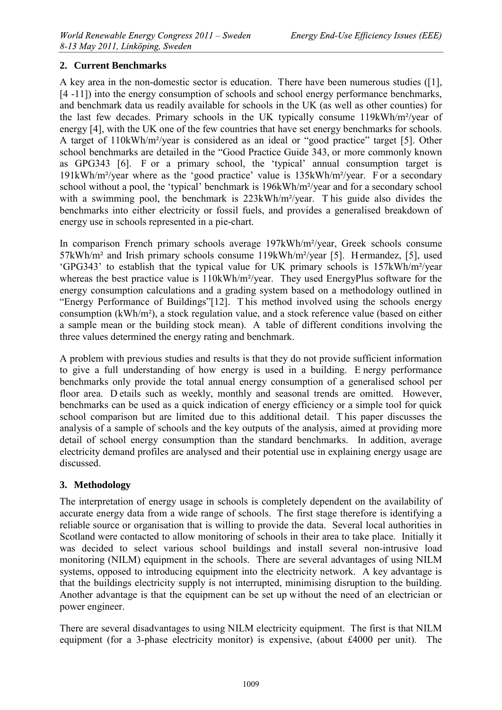## **2. Current Benchmarks**

A key area in the non-domestic sector is education. There have been numerous studies ([1], [4 -11]) into the energy consumption of schools and school energy performance benchmarks, and benchmark data us readily available for schools in the UK (as well as other counties) for the last few decades. Primary schools in the UK typically consume 119kWh/m²/year of energy [4], with the UK one of the few countries that have set energy benchmarks for schools. A target of 110kWh/m²/year is considered as an ideal or "good practice" target [5]. Other school benchmarks are detailed in the "Good Practice Guide 343, or more commonly known as GPG343 [6]. F or a primary school, the 'typical' annual consumption target is 191kWh/m²/year where as the 'good practice' value is 135kWh/m²/year. F or a secondary school without a pool, the 'typical' benchmark is 196kWh/m²/year and for a secondary school with a swimming pool, the benchmark is 223kWh/m<sup>2</sup>/year. This guide also divides the benchmarks into either electricity or fossil fuels, and provides a generalised breakdown of energy use in schools represented in a pie-chart.

In comparison French primary schools average 197kWh/m²/year, Greek schools consume 57kWh/m² and Irish primary schools consume 119kWh/m²/year [5]. H ermandez, [5], used 'GPG343' to establish that the typical value for UK primary schools is 157kWh/m²/year whereas the best practice value is 110kWh/m<sup>2</sup>/year. They used EnergyPlus software for the energy consumption calculations and a grading system based on a methodology outlined in "Energy Performance of Buildings"[12]. T his method involved using the schools energy consumption (kWh/m²), a stock regulation value, and a stock reference value (based on either a sample mean or the building stock mean). A table of different conditions involving the three values determined the energy rating and benchmark.

A problem with previous studies and results is that they do not provide sufficient information to give a full understanding of how energy is used in a building. E nergy performance benchmarks only provide the total annual energy consumption of a generalised school per floor area. D etails such as weekly, monthly and seasonal trends are omitted. However, benchmarks can be used as a quick indication of energy efficiency or a simple tool for quick school comparison but are limited due to this additional detail. T his paper discusses the analysis of a sample of schools and the key outputs of the analysis, aimed at providing more detail of school energy consumption than the standard benchmarks. In addition, average electricity demand profiles are analysed and their potential use in explaining energy usage are discussed.

# **3. Methodology**

The interpretation of energy usage in schools is completely dependent on the availability of accurate energy data from a wide range of schools. The first stage therefore is identifying a reliable source or organisation that is willing to provide the data. Several local authorities in Scotland were contacted to allow monitoring of schools in their area to take place. Initially it was decided to select various school buildings and install several non-intrusive load monitoring (NILM) equipment in the schools. There are several advantages of using NILM systems, opposed to introducing equipment into the electricity network. A key advantage is that the buildings electricity supply is not interrupted, minimising disruption to the building. Another advantage is that the equipment can be set up without the need of an electrician or power engineer.

There are several disadvantages to using NILM electricity equipment. The first is that NILM equipment (for a 3-phase electricity monitor) is expensive, (about £4000 per unit). The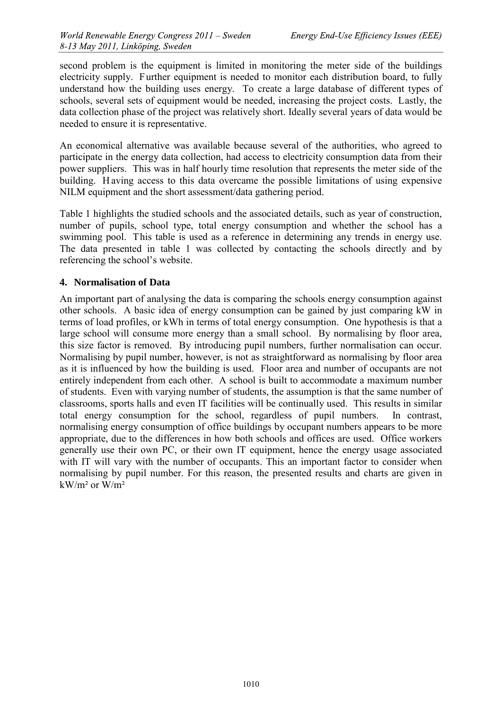second problem is the equipment is limited in monitoring the meter side of the buildings electricity supply. Further equipment is needed to monitor each distribution board, to fully understand how the building uses energy. To create a large database of different types of schools, several sets of equipment would be needed, increasing the project costs. Lastly, the data collection phase of the project was relatively short. Ideally several years of data would be needed to ensure it is representative.

An economical alternative was available because several of the authorities, who agreed to participate in the energy data collection, had access to electricity consumption data from their power suppliers. This was in half hourly time resolution that represents the meter side of the building. H aving access to this data overcame the possible limitations of using expensive NILM equipment and the short assessment/data gathering period.

Table 1 highlights the studied schools and the associated details, such as year of construction, number of pupils, school type, total energy consumption and whether the school has a swimming pool. This table is used as a reference in determining any trends in energy use. The data presented in table 1 was collected by contacting the schools directly and by referencing the school's website.

#### **4. Normalisation of Data**

An important part of analysing the data is comparing the schools energy consumption against other schools. A basic idea of energy consumption can be gained by just comparing kW in terms of load profiles, or kWh in terms of total energy consumption. One hypothesis is that a large school will consume more energy than a small school. By normalising by floor area, this size factor is removed. By introducing pupil numbers, further normalisation can occur. Normalising by pupil number, however, is not as straightforward as normalising by floor area as it is influenced by how the building is used. Floor area and number of occupants are not entirely independent from each other. A school is built to accommodate a maximum number of students. Even with varying number of students, the assumption is that the same number of classrooms, sports halls and even IT facilities will be continually used. This results in similar total energy consumption for the school, regardless of pupil numbers. In contrast, normalising energy consumption of office buildings by occupant numbers appears to be more appropriate, due to the differences in how both schools and offices are used. Office workers generally use their own PC, or their own IT equipment, hence the energy usage associated with IT will vary with the number of occupants. This an important factor to consider when normalising by pupil number. For this reason, the presented results and charts are given in  $kW/m^2$  or  $W/m^2$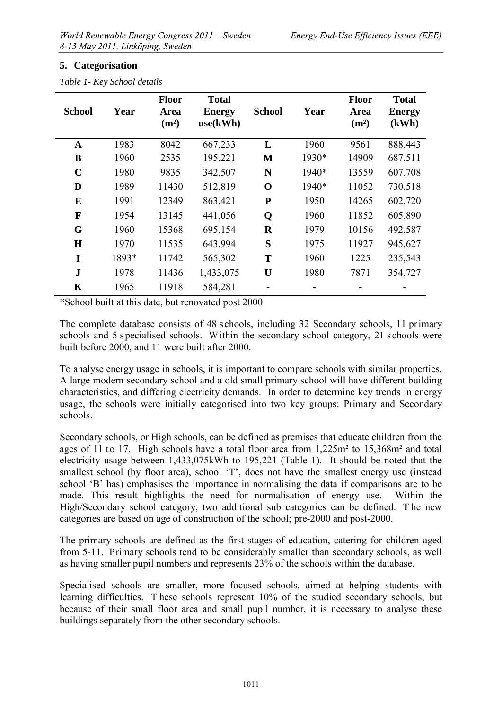#### **5. Categorisation**

| <b>School</b> | Year  | <b>Floor</b><br><b>Area</b><br>(m <sup>2</sup> ) | <b>Total</b><br><b>Energy</b><br>use(kWh) | <b>School</b> | Year  | <b>Floor</b><br>Area<br>(m <sup>2</sup> ) | <b>Total</b><br><b>Energy</b><br>(kWh) |
|---------------|-------|--------------------------------------------------|-------------------------------------------|---------------|-------|-------------------------------------------|----------------------------------------|
| $\mathbf{A}$  | 1983  | 8042                                             | 667,233                                   | L             | 1960  | 9561                                      | 888,443                                |
| B             | 1960  | 2535                                             | 195,221                                   | M             | 1930* | 14909                                     | 687,511                                |
| $\mathbf C$   | 1980  | 9835                                             | 342,507                                   | N             | 1940* | 13559                                     | 607,708                                |
| D             | 1989  | 11430                                            | 512,819                                   | $\mathbf 0$   | 1940* | 11052                                     | 730,518                                |
| E             | 1991  | 12349                                            | 863,421                                   | ${\bf P}$     | 1950  | 14265                                     | 602,720                                |
| $\mathbf{F}$  | 1954  | 13145                                            | 441,056                                   | Q             | 1960  | 11852                                     | 605,890                                |
| G             | 1960  | 15368                                            | 695,154                                   | $\bf R$       | 1979  | 10156                                     | 492,587                                |
| H             | 1970  | 11535                                            | 643,994                                   | S             | 1975  | 11927                                     | 945,627                                |
| I             | 1893* | 11742                                            | 565,302                                   | T             | 1960  | 1225                                      | 235,543                                |
| $\mathbf{J}$  | 1978  | 11436                                            | 1,433,075                                 | U             | 1980  | 7871                                      | 354,727                                |
| K             | 1965  | 11918                                            | 584,281                                   |               |       |                                           |                                        |

*Table 1- Key School details*

\*School built at this date, but renovated post 2000

The complete database consists of 48 schools, including 32 Secondary schools, 11 primary schools and 5 s pecialised schools. W ithin the secondary school category, 21 s chools were built before 2000, and 11 were built after 2000.

To analyse energy usage in schools, it is important to compare schools with similar properties. A large modern secondary school and a old small primary school will have different building characteristics, and differing electricity demands. In order to determine key trends in energy usage, the schools were initially categorised into two key groups: Primary and Secondary schools.

Secondary schools, or High schools, can be defined as premises that educate children from the ages of 11 to 17. High schools have a total floor area from 1,225m² to 15,368m² and total electricity usage between 1,433,075kWh to 195,221 (Table 1). It should be noted that the smallest school (by floor area), school 'T', does not have the smallest energy use (instead school 'B' has) emphasises the importance in normalising the data if comparisons are to be made. This result highlights the need for normalisation of energy use. Within the High/Secondary school category, two additional sub categories can be defined. T he new categories are based on age of construction of the school; pre-2000 and post-2000.

The primary schools are defined as the first stages of education, catering for children aged from 5-11. Primary schools tend to be considerably smaller than secondary schools, as well as having smaller pupil numbers and represents 23% of the schools within the database.

Specialised schools are smaller, more focused schools, aimed at helping students with learning difficulties. T hese schools represent 10% of the studied secondary schools, but because of their small floor area and small pupil number, it is necessary to analyse these buildings separately from the other secondary schools.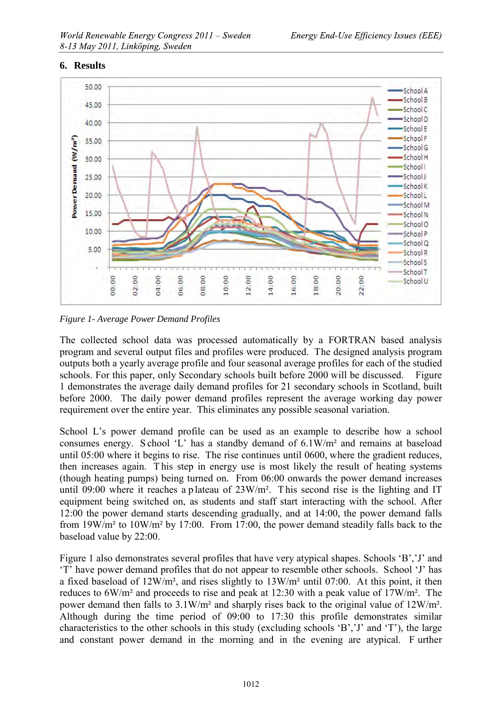#### **6. Results**



*Figure 1- Average Power Demand Profiles*

The collected school data was processed automatically by a FORTRAN based analysis program and several output files and profiles were produced. The designed analysis program outputs both a yearly average profile and four seasonal average profiles for each of the studied schools. For this paper, only Secondary schools built before 2000 will be discussed. Figure 1 demonstrates the average daily demand profiles for 21 secondary schools in Scotland, built before 2000. The daily power demand profiles represent the average working day power requirement over the entire year. This eliminates any possible seasonal variation.

School L's power demand profile can be used as an example to describe how a school consumes energy. S chool 'L' has a standby demand of 6.1W/m² and remains at baseload until 05:00 where it begins to rise. The rise continues until 0600, where the gradient reduces, then increases again. T his step in energy use is most likely the result of heating systems (though heating pumps) being turned on. From 06:00 onwards the power demand increases until 09:00 where it reaches a p lateau of  $23W/m^2$ . This second rise is the lighting and IT equipment being switched on, as students and staff start interacting with the school. After 12:00 the power demand starts descending gradually, and at 14:00, the power demand falls from 19W/m² to 10W/m² by 17:00. From 17:00, the power demand steadily falls back to the baseload value by 22:00.

Figure 1 also demonstrates several profiles that have very atypical shapes. Schools 'B','J' and 'T' have power demand profiles that do not appear to resemble other schools. School 'J' has a fixed baseload of 12W/m², and rises slightly to 13W/m² until 07:00. At this point, it then reduces to 6W/m² and proceeds to rise and peak at 12:30 with a peak value of 17W/m². The power demand then falls to 3.1W/m² and sharply rises back to the original value of 12W/m². Although during the time period of 09:00 to 17:30 this profile demonstrates similar characteristics to the other schools in this study (excluding schools 'B','J' and 'T'), the large and constant power demand in the morning and in the evening are atypical. F urther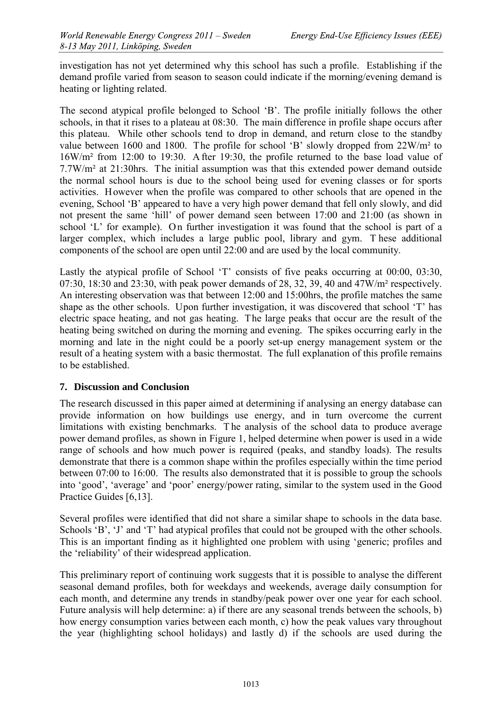investigation has not yet determined why this school has such a profile. Establishing if the demand profile varied from season to season could indicate if the morning/evening demand is heating or lighting related.

The second atypical profile belonged to School 'B'. The profile initially follows the other schools, in that it rises to a plateau at 08:30. The main difference in profile shape occurs after this plateau. While other schools tend to drop in demand, and return close to the standby value between 1600 and 1800. The profile for school 'B' slowly dropped from 22W/m² to 16W/m² from 12:00 to 19:30. A fter 19:30, the profile returned to the base load value of 7.7W/m² at 21:30hrs. The initial assumption was that this extended power demand outside the normal school hours is due to the school being used for evening classes or for sports activities. However when the profile was compared to other schools that are opened in the evening, School 'B' appeared to have a very high power demand that fell only slowly, and did not present the same 'hill' of power demand seen between 17:00 and 21:00 (as shown in school 'L' for example). On further investigation it was found that the school is part of a larger complex, which includes a large public pool, library and gym. T hese additional components of the school are open until 22:00 and are used by the local community.

Lastly the atypical profile of School 'T' consists of five peaks occurring at 00:00, 03:30, 07:30, 18:30 and 23:30, with peak power demands of 28, 32, 39, 40 and 47W/m² respectively. An interesting observation was that between 12:00 and 15:00hrs, the profile matches the same shape as the other schools. Upon further investigation, it was discovered that school 'T' has electric space heating, and not gas heating. The large peaks that occur are the result of the heating being switched on during the morning and evening. The spikes occurring early in the morning and late in the night could be a poorly set-up energy management system or the result of a heating system with a basic thermostat. The full explanation of this profile remains to be established.

#### **7. Discussion and Conclusion**

The research discussed in this paper aimed at determining if analysing an energy database can provide information on how buildings use energy, and in turn overcome the current limitations with existing benchmarks. T he analysis of the school data to produce average power demand profiles, as shown in Figure 1, helped determine when power is used in a wide range of schools and how much power is required (peaks, and standby loads). The results demonstrate that there is a common shape within the profiles especially within the time period between 07:00 to 16:00. The results also demonstrated that it is possible to group the schools into 'good', 'average' and 'poor' energy/power rating, similar to the system used in the Good Practice Guides [6,13].

Several profiles were identified that did not share a similar shape to schools in the data base. Schools 'B', 'J' and 'T' had atypical profiles that could not be grouped with the other schools. This is an important finding as it highlighted one problem with using 'generic; profiles and the 'reliability' of their widespread application.

This preliminary report of continuing work suggests that it is possible to analyse the different seasonal demand profiles, both for weekdays and weekends, average daily consumption for each month, and determine any trends in standby/peak power over one year for each school. Future analysis will help determine: a) if there are any seasonal trends between the schools, b) how energy consumption varies between each month, c) how the peak values vary throughout the year (highlighting school holidays) and lastly d) if the schools are used during the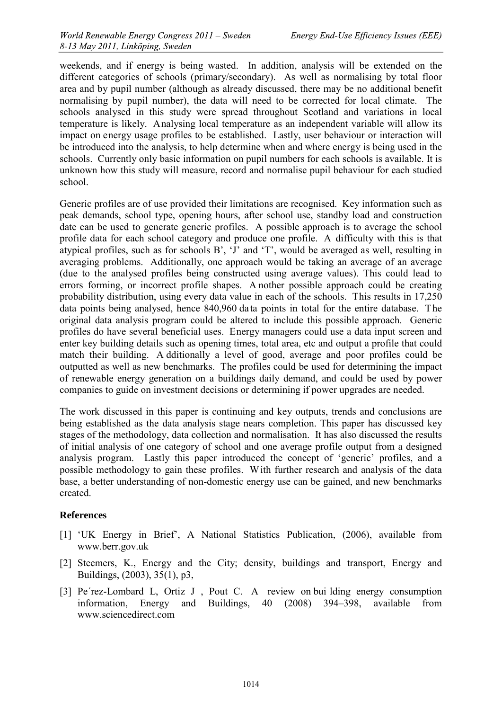weekends, and if energy is being wasted. In addition, analysis will be extended on the different categories of schools (primary/secondary). As well as normalising by total floor area and by pupil number (although as already discussed, there may be no additional benefit normalising by pupil number), the data will need to be corrected for local climate. The schools analysed in this study were spread throughout Scotland and variations in local temperature is likely. Analysing local temperature as an independent variable will allow its impact on energy usage profiles to be established. Lastly, user behaviour or interaction will be introduced into the analysis, to help determine when and where energy is being used in the schools. Currently only basic information on pupil numbers for each schools is available. It is unknown how this study will measure, record and normalise pupil behaviour for each studied school.

Generic profiles are of use provided their limitations are recognised. Key information such as peak demands, school type, opening hours, after school use, standby load and construction date can be used to generate generic profiles. A possible approach is to average the school profile data for each school category and produce one profile. A difficulty with this is that atypical profiles, such as for schools B', 'J' and 'T', would be averaged as well, resulting in averaging problems. Additionally, one approach would be taking an average of an average (due to the analysed profiles being constructed using average values). This could lead to errors forming, or incorrect profile shapes. A nother possible approach could be creating probability distribution, using every data value in each of the schools. This results in 17,250 data points being analysed, hence 840,960 data points in total for the entire database. The original data analysis program could be altered to include this possible approach. Generic profiles do have several beneficial uses. Energy managers could use a data input screen and enter key building details such as opening times, total area, etc and output a profile that could match their building. A dditionally a level of good, average and poor profiles could be outputted as well as new benchmarks. The profiles could be used for determining the impact of renewable energy generation on a buildings daily demand, and could be used by power companies to guide on investment decisions or determining if power upgrades are needed.

The work discussed in this paper is continuing and key outputs, trends and conclusions are being established as the data analysis stage nears completion. This paper has discussed key stages of the methodology, data collection and normalisation. It has also discussed the results of initial analysis of one category of school and one average profile output from a designed analysis program. Lastly this paper introduced the concept of 'generic' profiles, and a possible methodology to gain these profiles. With further research and analysis of the data base, a better understanding of non-domestic energy use can be gained, and new benchmarks created.

#### **References**

- [1] 'UK Energy in Brief', A National Statistics Publication, (2006), available from [www.berr.gov.uk](http://www.berr.gov.uk/)
- [2] Steemers, K., Energy and the City; density, buildings and transport, Energy and Buildings, (2003), 35(1), p3,
- [3] Pe´rez-Lombard L, Ortiz J , Pout C. A review on bui lding energy consumption information, Energy and Buildings, 40 (2008) 394–398, available from www.sciencedirect.com